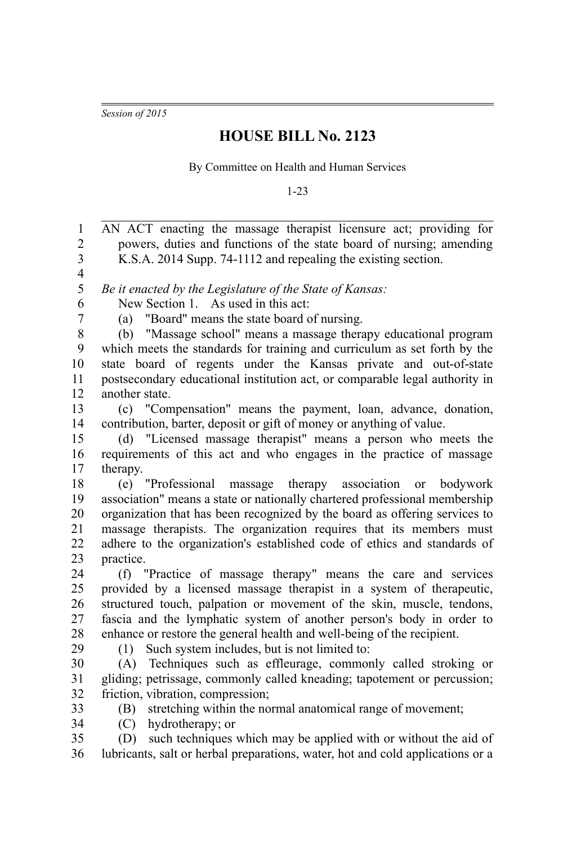*Session of 2015*

## **HOUSE BILL No. 2123**

By Committee on Health and Human Services

1-23

AN ACT enacting the massage therapist licensure act; providing for powers, duties and functions of the state board of nursing; amending K.S.A. 2014 Supp. 74-1112 and repealing the existing section. *Be it enacted by the Legislature of the State of Kansas:* New Section 1. As used in this act: (a) "Board" means the state board of nursing. (b) "Massage school" means a massage therapy educational program which meets the standards for training and curriculum as set forth by the state board of regents under the Kansas private and out-of-state postsecondary educational institution act, or comparable legal authority in another state. (c) "Compensation" means the payment, loan, advance, donation, contribution, barter, deposit or gift of money or anything of value. (d) "Licensed massage therapist" means a person who meets the requirements of this act and who engages in the practice of massage therapy. (e) "Professional massage therapy association or bodywork association" means a state or nationally chartered professional membership organization that has been recognized by the board as offering services to massage therapists. The organization requires that its members must adhere to the organization's established code of ethics and standards of practice. (f) "Practice of massage therapy" means the care and services provided by a licensed massage therapist in a system of therapeutic, structured touch, palpation or movement of the skin, muscle, tendons, fascia and the lymphatic system of another person's body in order to enhance or restore the general health and well-being of the recipient. (1) Such system includes, but is not limited to: (A) Techniques such as effleurage, commonly called stroking or gliding; petrissage, commonly called kneading; tapotement or percussion; friction, vibration, compression; (B) stretching within the normal anatomical range of movement; (C) hydrotherapy; or (D) such techniques which may be applied with or without the aid of lubricants, salt or herbal preparations, water, hot and cold applications or a 1 2 3 4 5 6 7 8 9 10 11 12 13 14 15 16 17 18 19 20 21 22 23 24 25 26 27 28 29 30 31 32 33 34 35 36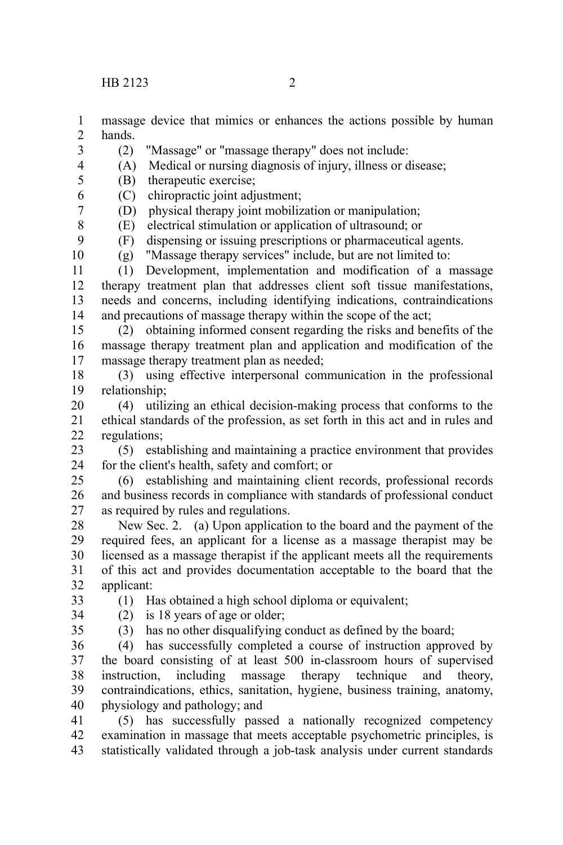3

8 9 10

- massage device that mimics or enhances the actions possible by human hands. 1 2
	- (2) "Massage" or "massage therapy" does not include:
- (A) Medical or nursing diagnosis of injury, illness or disease; 4
- (B) therapeutic exercise; 5
- (C) chiropractic joint adjustment; 6 7
	- (D) physical therapy joint mobilization or manipulation;
	- (E) electrical stimulation or application of ultrasound; or
	- (F) dispensing or issuing prescriptions or pharmaceutical agents.
	- (g) "Massage therapy services" include, but are not limited to:

(1) Development, implementation and modification of a massage therapy treatment plan that addresses client soft tissue manifestations, needs and concerns, including identifying indications, contraindications and precautions of massage therapy within the scope of the act; 11 12 13 14

- (2) obtaining informed consent regarding the risks and benefits of the massage therapy treatment plan and application and modification of the massage therapy treatment plan as needed; 15 16 17
- (3) using effective interpersonal communication in the professional relationship; 18 19
- (4) utilizing an ethical decision-making process that conforms to the ethical standards of the profession, as set forth in this act and in rules and regulations; 20 21 22
- (5) establishing and maintaining a practice environment that provides for the client's health, safety and comfort; or 23 24
- (6) establishing and maintaining client records, professional records and business records in compliance with standards of professional conduct as required by rules and regulations. 25 26 27
- New Sec. 2. (a) Upon application to the board and the payment of the required fees, an applicant for a license as a massage therapist may be licensed as a massage therapist if the applicant meets all the requirements of this act and provides documentation acceptable to the board that the applicant: 28 29 30 31 32
	- (1) Has obtained a high school diploma or equivalent;

(2) is 18 years of age or older;

- 33 34
- 35

(3) has no other disqualifying conduct as defined by the board;

- (4) has successfully completed a course of instruction approved by the board consisting of at least 500 in-classroom hours of supervised instruction, including massage therapy technique and theory, contraindications, ethics, sanitation, hygiene, business training, anatomy, physiology and pathology; and 36 37 38 39 40
- (5) has successfully passed a nationally recognized competency examination in massage that meets acceptable psychometric principles, is statistically validated through a job-task analysis under current standards 41 42 43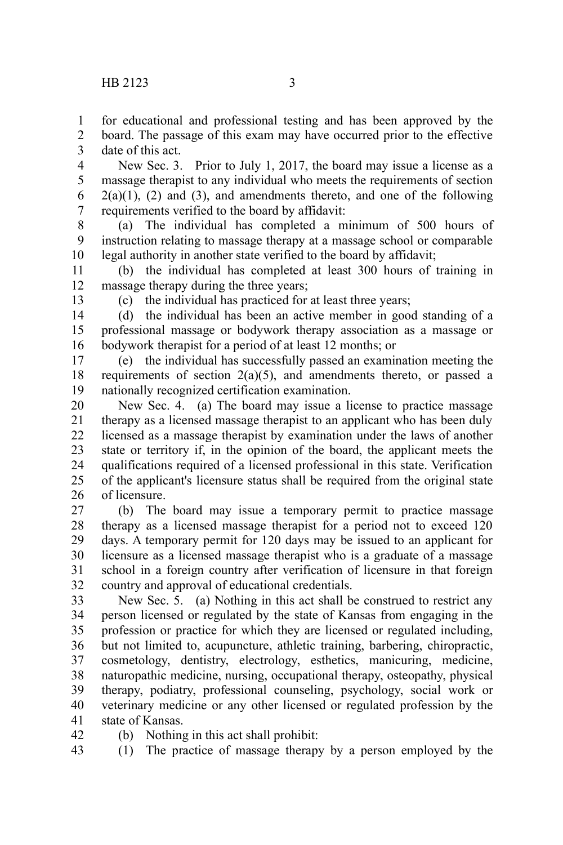13

42

for educational and professional testing and has been approved by the 1

board. The passage of this exam may have occurred prior to the effective date of this act. 2 3

New Sec. 3. Prior to July 1, 2017, the board may issue a license as a massage therapist to any individual who meets the requirements of section  $2(a)(1)$ ,  $(2)$  and  $(3)$ , and amendments thereto, and one of the following requirements verified to the board by affidavit: 4 5 6 7

(a) The individual has completed a minimum of 500 hours of instruction relating to massage therapy at a massage school or comparable legal authority in another state verified to the board by affidavit; 8 9 10

(b) the individual has completed at least 300 hours of training in massage therapy during the three years; 11 12

(c) the individual has practiced for at least three years;

(d) the individual has been an active member in good standing of a professional massage or bodywork therapy association as a massage or bodywork therapist for a period of at least 12 months; or 14 15 16

(e) the individual has successfully passed an examination meeting the requirements of section 2(a)(5), and amendments thereto, or passed a nationally recognized certification examination. 17 18 19

New Sec. 4. (a) The board may issue a license to practice massage therapy as a licensed massage therapist to an applicant who has been duly licensed as a massage therapist by examination under the laws of another state or territory if, in the opinion of the board, the applicant meets the qualifications required of a licensed professional in this state. Verification of the applicant's licensure status shall be required from the original state of licensure. 20 21 22 23 24 25 26

(b) The board may issue a temporary permit to practice massage therapy as a licensed massage therapist for a period not to exceed 120 days. A temporary permit for 120 days may be issued to an applicant for licensure as a licensed massage therapist who is a graduate of a massage school in a foreign country after verification of licensure in that foreign country and approval of educational credentials. 27 28 29 30 31 32

New Sec. 5. (a) Nothing in this act shall be construed to restrict any person licensed or regulated by the state of Kansas from engaging in the profession or practice for which they are licensed or regulated including, but not limited to, acupuncture, athletic training, barbering, chiropractic, cosmetology, dentistry, electrology, esthetics, manicuring, medicine, naturopathic medicine, nursing, occupational therapy, osteopathy, physical therapy, podiatry, professional counseling, psychology, social work or veterinary medicine or any other licensed or regulated profession by the state of Kansas. 33 34 35 36 37 38 39 40 41

(b) Nothing in this act shall prohibit:

(1) The practice of massage therapy by a person employed by the 43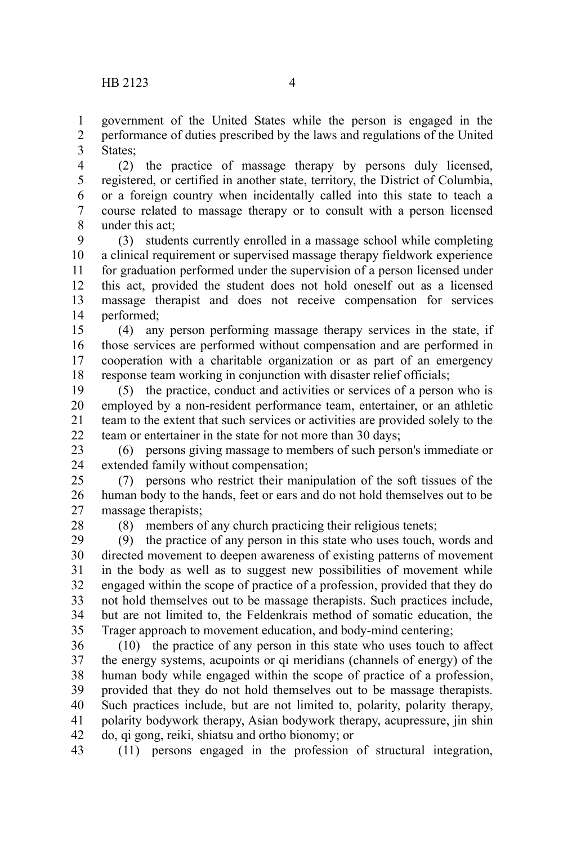government of the United States while the person is engaged in the performance of duties prescribed by the laws and regulations of the United States; 1 2 3

(2) the practice of massage therapy by persons duly licensed, registered, or certified in another state, territory, the District of Columbia, or a foreign country when incidentally called into this state to teach a course related to massage therapy or to consult with a person licensed under this act; 4 5 6 7 8

(3) students currently enrolled in a massage school while completing a clinical requirement or supervised massage therapy fieldwork experience for graduation performed under the supervision of a person licensed under this act, provided the student does not hold oneself out as a licensed massage therapist and does not receive compensation for services performed; 9 10 11 12 13 14

(4) any person performing massage therapy services in the state, if those services are performed without compensation and are performed in cooperation with a charitable organization or as part of an emergency response team working in conjunction with disaster relief officials; 15 16 17 18

(5) the practice, conduct and activities or services of a person who is employed by a non-resident performance team, entertainer, or an athletic team to the extent that such services or activities are provided solely to the team or entertainer in the state for not more than 30 days; 19 20 21  $22$ 

(6) persons giving massage to members of such person's immediate or extended family without compensation; 23 24

(7) persons who restrict their manipulation of the soft tissues of the human body to the hands, feet or ears and do not hold themselves out to be massage therapists; 25 26 27

28

(8) members of any church practicing their religious tenets;

(9) the practice of any person in this state who uses touch, words and directed movement to deepen awareness of existing patterns of movement in the body as well as to suggest new possibilities of movement while engaged within the scope of practice of a profession, provided that they do not hold themselves out to be massage therapists. Such practices include, but are not limited to, the Feldenkrais method of somatic education, the Trager approach to movement education, and body-mind centering; 29 30 31 32 33 34 35

(10) the practice of any person in this state who uses touch to affect the energy systems, acupoints or qi meridians (channels of energy) of the human body while engaged within the scope of practice of a profession, provided that they do not hold themselves out to be massage therapists. Such practices include, but are not limited to, polarity, polarity therapy, polarity bodywork therapy, Asian bodywork therapy, acupressure, jin shin do, qi gong, reiki, shiatsu and ortho bionomy; or 36 37 38 39 40 41 42

(11) persons engaged in the profession of structural integration, 43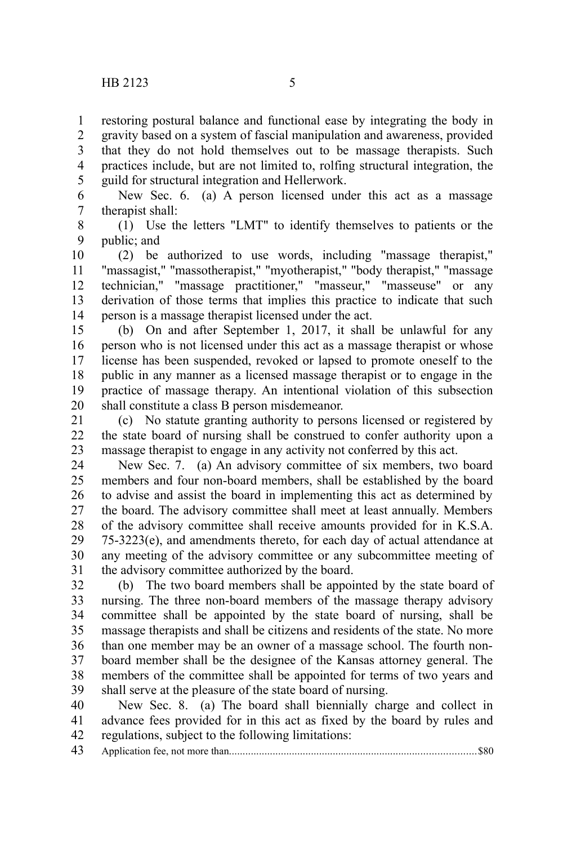restoring postural balance and functional ease by integrating the body in 1

gravity based on a system of fascial manipulation and awareness, provided that they do not hold themselves out to be massage therapists. Such practices include, but are not limited to, rolfing structural integration, the guild for structural integration and Hellerwork. 2 3 4 5

New Sec. 6. (a) A person licensed under this act as a massage therapist shall: 6 7

(1) Use the letters "LMT" to identify themselves to patients or the public; and 8 9

(2) be authorized to use words, including "massage therapist," "massagist," "massotherapist," "myotherapist," "body therapist," "massage technician," "massage practitioner," "masseur," "masseuse" or any derivation of those terms that implies this practice to indicate that such person is a massage therapist licensed under the act. 10 11 12 13 14

(b) On and after September 1, 2017, it shall be unlawful for any person who is not licensed under this act as a massage therapist or whose license has been suspended, revoked or lapsed to promote oneself to the public in any manner as a licensed massage therapist or to engage in the practice of massage therapy. An intentional violation of this subsection shall constitute a class B person misdemeanor. 15 16 17 18 19 20

(c) No statute granting authority to persons licensed or registered by the state board of nursing shall be construed to confer authority upon a massage therapist to engage in any activity not conferred by this act. 21 22 23

New Sec. 7. (a) An advisory committee of six members, two board members and four non-board members, shall be established by the board to advise and assist the board in implementing this act as determined by the board. The advisory committee shall meet at least annually. Members of the advisory committee shall receive amounts provided for in K.S.A. 75-3223(e), and amendments thereto, for each day of actual attendance at any meeting of the advisory committee or any subcommittee meeting of the advisory committee authorized by the board. 24 25 26 27 28 29 30 31

(b) The two board members shall be appointed by the state board of nursing. The three non-board members of the massage therapy advisory committee shall be appointed by the state board of nursing, shall be massage therapists and shall be citizens and residents of the state. No more than one member may be an owner of a massage school. The fourth nonboard member shall be the designee of the Kansas attorney general. The members of the committee shall be appointed for terms of two years and shall serve at the pleasure of the state board of nursing. 32 33 34 35 36 37 38 39

New Sec. 8. (a) The board shall biennially charge and collect in advance fees provided for in this act as fixed by the board by rules and regulations, subject to the following limitations: 40 41 42

Application fee, not more than..........................................................................................\$80 43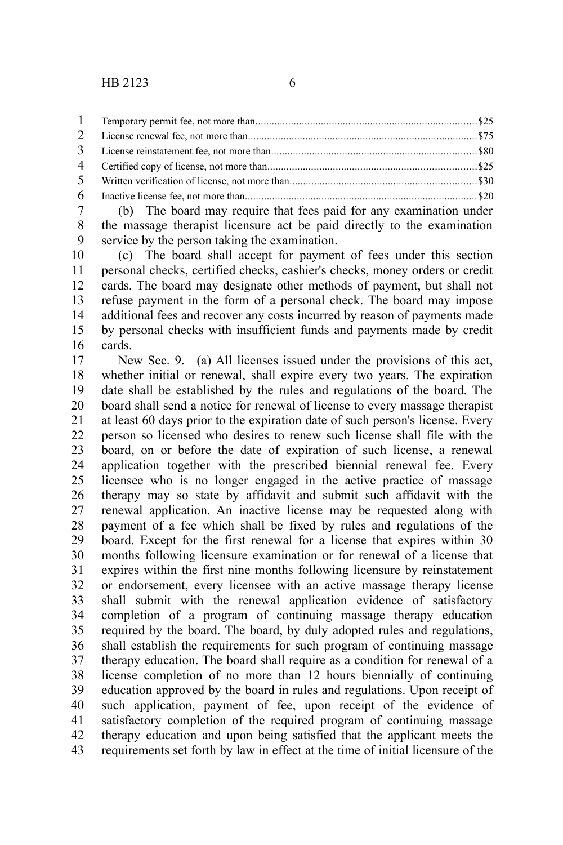(b) The board may require that fees paid for any examination under the massage therapist licensure act be paid directly to the examination service by the person taking the examination. 7 8 9

(c) The board shall accept for payment of fees under this section personal checks, certified checks, cashier's checks, money orders or credit cards. The board may designate other methods of payment, but shall not refuse payment in the form of a personal check. The board may impose additional fees and recover any costs incurred by reason of payments made by personal checks with insufficient funds and payments made by credit cards. 10 11 12 13 14 15 16

New Sec. 9. (a) All licenses issued under the provisions of this act, whether initial or renewal, shall expire every two years. The expiration date shall be established by the rules and regulations of the board. The board shall send a notice for renewal of license to every massage therapist at least 60 days prior to the expiration date of such person's license. Every person so licensed who desires to renew such license shall file with the board, on or before the date of expiration of such license, a renewal application together with the prescribed biennial renewal fee. Every licensee who is no longer engaged in the active practice of massage therapy may so state by affidavit and submit such affidavit with the renewal application. An inactive license may be requested along with payment of a fee which shall be fixed by rules and regulations of the board. Except for the first renewal for a license that expires within 30 months following licensure examination or for renewal of a license that expires within the first nine months following licensure by reinstatement or endorsement, every licensee with an active massage therapy license shall submit with the renewal application evidence of satisfactory completion of a program of continuing massage therapy education required by the board. The board, by duly adopted rules and regulations, shall establish the requirements for such program of continuing massage therapy education. The board shall require as a condition for renewal of a license completion of no more than 12 hours biennially of continuing education approved by the board in rules and regulations. Upon receipt of such application, payment of fee, upon receipt of the evidence of satisfactory completion of the required program of continuing massage therapy education and upon being satisfied that the applicant meets the requirements set forth by law in effect at the time of initial licensure of the 17 18 19 20 21 22 23 24 25 26 27 28 29 30 31 32 33 34 35 36 37 38 39 40 41 42 43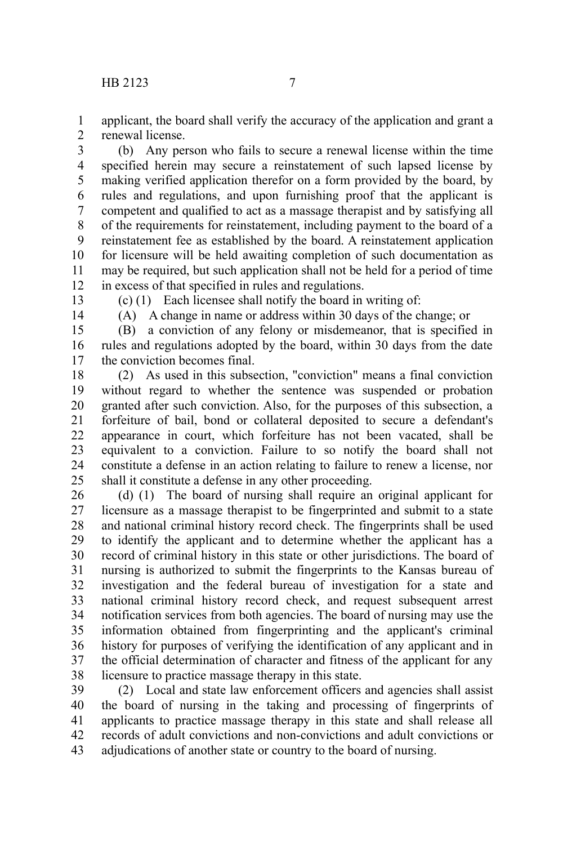applicant, the board shall verify the accuracy of the application and grant a renewal license. 1 2

(b) Any person who fails to secure a renewal license within the time specified herein may secure a reinstatement of such lapsed license by making verified application therefor on a form provided by the board, by rules and regulations, and upon furnishing proof that the applicant is competent and qualified to act as a massage therapist and by satisfying all of the requirements for reinstatement, including payment to the board of a reinstatement fee as established by the board. A reinstatement application for licensure will be held awaiting completion of such documentation as may be required, but such application shall not be held for a period of time in excess of that specified in rules and regulations. 3 4 5 6 7 8 9 10 11 12

13

14

(c) (1) Each licensee shall notify the board in writing of:

(A) A change in name or address within 30 days of the change; or

(B) a conviction of any felony or misdemeanor, that is specified in rules and regulations adopted by the board, within 30 days from the date the conviction becomes final. 15 16 17

(2) As used in this subsection, "conviction" means a final conviction without regard to whether the sentence was suspended or probation granted after such conviction. Also, for the purposes of this subsection, a forfeiture of bail, bond or collateral deposited to secure a defendant's appearance in court, which forfeiture has not been vacated, shall be equivalent to a conviction. Failure to so notify the board shall not constitute a defense in an action relating to failure to renew a license, nor shall it constitute a defense in any other proceeding. 18 19 20 21 22 23 24 25

(d) (1) The board of nursing shall require an original applicant for licensure as a massage therapist to be fingerprinted and submit to a state and national criminal history record check. The fingerprints shall be used to identify the applicant and to determine whether the applicant has a record of criminal history in this state or other jurisdictions. The board of nursing is authorized to submit the fingerprints to the Kansas bureau of investigation and the federal bureau of investigation for a state and national criminal history record check, and request subsequent arrest notification services from both agencies. The board of nursing may use the information obtained from fingerprinting and the applicant's criminal history for purposes of verifying the identification of any applicant and in the official determination of character and fitness of the applicant for any licensure to practice massage therapy in this state. 26 27 28 29 30 31 32 33 34 35 36 37 38

(2) Local and state law enforcement officers and agencies shall assist the board of nursing in the taking and processing of fingerprints of applicants to practice massage therapy in this state and shall release all records of adult convictions and non-convictions and adult convictions or adjudications of another state or country to the board of nursing. 39 40 41 42 43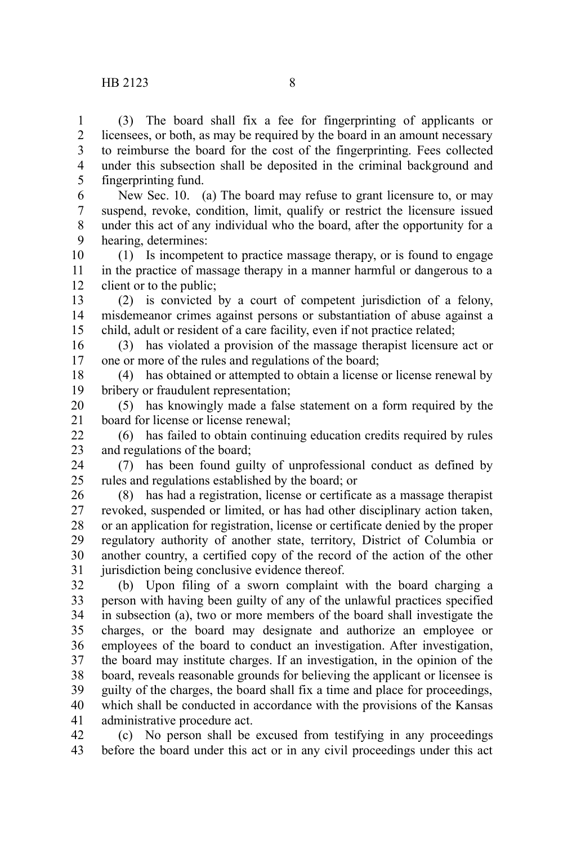(3) The board shall fix a fee for fingerprinting of applicants or licensees, or both, as may be required by the board in an amount necessary to reimburse the board for the cost of the fingerprinting. Fees collected under this subsection shall be deposited in the criminal background and fingerprinting fund. 1 2 3 4 5

New Sec. 10. (a) The board may refuse to grant licensure to, or may suspend, revoke, condition, limit, qualify or restrict the licensure issued under this act of any individual who the board, after the opportunity for a hearing, determines: 6 7 8 9

(1) Is incompetent to practice massage therapy, or is found to engage in the practice of massage therapy in a manner harmful or dangerous to a client or to the public; 10 11 12

(2) is convicted by a court of competent jurisdiction of a felony, misdemeanor crimes against persons or substantiation of abuse against a child, adult or resident of a care facility, even if not practice related; 13 14 15

(3) has violated a provision of the massage therapist licensure act or one or more of the rules and regulations of the board; 16 17

(4) has obtained or attempted to obtain a license or license renewal by bribery or fraudulent representation; 18 19

(5) has knowingly made a false statement on a form required by the board for license or license renewal; 20 21

(6) has failed to obtain continuing education credits required by rules and regulations of the board; 22 23

(7) has been found guilty of unprofessional conduct as defined by rules and regulations established by the board; or 24 25

(8) has had a registration, license or certificate as a massage therapist revoked, suspended or limited, or has had other disciplinary action taken, or an application for registration, license or certificate denied by the proper regulatory authority of another state, territory, District of Columbia or another country, a certified copy of the record of the action of the other jurisdiction being conclusive evidence thereof. 26 27 28 29 30 31

(b) Upon filing of a sworn complaint with the board charging a person with having been guilty of any of the unlawful practices specified in subsection (a), two or more members of the board shall investigate the charges, or the board may designate and authorize an employee or employees of the board to conduct an investigation. After investigation, the board may institute charges. If an investigation, in the opinion of the board, reveals reasonable grounds for believing the applicant or licensee is guilty of the charges, the board shall fix a time and place for proceedings, which shall be conducted in accordance with the provisions of the Kansas administrative procedure act. 32 33 34 35 36 37 38 39 40 41

(c) No person shall be excused from testifying in any proceedings before the board under this act or in any civil proceedings under this act 42 43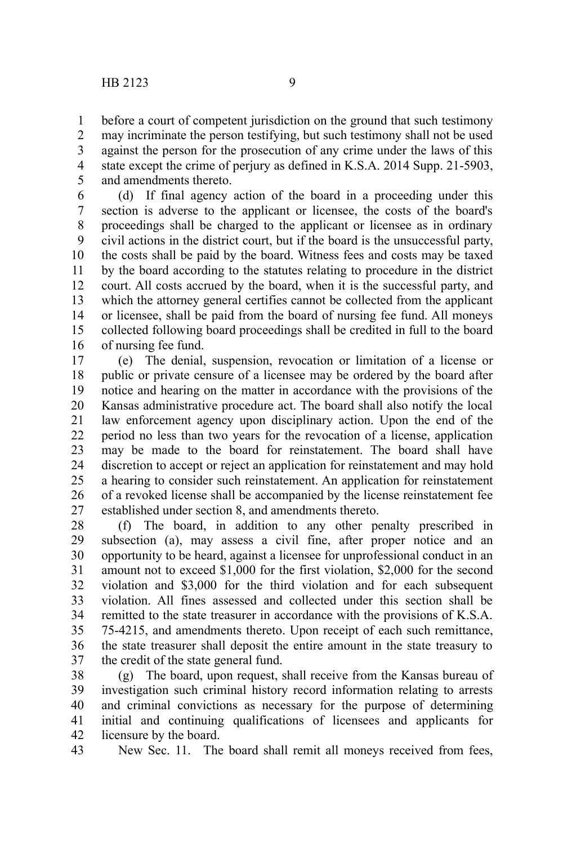before a court of competent jurisdiction on the ground that such testimony may incriminate the person testifying, but such testimony shall not be used against the person for the prosecution of any crime under the laws of this state except the crime of perjury as defined in K.S.A. 2014 Supp. 21-5903, and amendments thereto. 1 2 3 4 5

(d) If final agency action of the board in a proceeding under this section is adverse to the applicant or licensee, the costs of the board's proceedings shall be charged to the applicant or licensee as in ordinary civil actions in the district court, but if the board is the unsuccessful party, the costs shall be paid by the board. Witness fees and costs may be taxed by the board according to the statutes relating to procedure in the district court. All costs accrued by the board, when it is the successful party, and which the attorney general certifies cannot be collected from the applicant or licensee, shall be paid from the board of nursing fee fund. All moneys collected following board proceedings shall be credited in full to the board of nursing fee fund. 6 7 8 9 10 11 12 13 14 15 16

(e) The denial, suspension, revocation or limitation of a license or public or private censure of a licensee may be ordered by the board after notice and hearing on the matter in accordance with the provisions of the Kansas administrative procedure act. The board shall also notify the local law enforcement agency upon disciplinary action. Upon the end of the period no less than two years for the revocation of a license, application may be made to the board for reinstatement. The board shall have discretion to accept or reject an application for reinstatement and may hold a hearing to consider such reinstatement. An application for reinstatement of a revoked license shall be accompanied by the license reinstatement fee established under section 8, and amendments thereto. 17 18 19 20 21 22 23 24 25 26 27

(f) The board, in addition to any other penalty prescribed in subsection (a), may assess a civil fine, after proper notice and an opportunity to be heard, against a licensee for unprofessional conduct in an amount not to exceed \$1,000 for the first violation, \$2,000 for the second violation and \$3,000 for the third violation and for each subsequent violation. All fines assessed and collected under this section shall be remitted to the state treasurer in accordance with the provisions of K.S.A. 75-4215, and amendments thereto. Upon receipt of each such remittance, the state treasurer shall deposit the entire amount in the state treasury to the credit of the state general fund. 28 29 30 31 32 33 34 35 36 37

(g) The board, upon request, shall receive from the Kansas bureau of investigation such criminal history record information relating to arrests and criminal convictions as necessary for the purpose of determining initial and continuing qualifications of licensees and applicants for licensure by the board. 38 39 40 41 42

New Sec. 11. The board shall remit all moneys received from fees, 43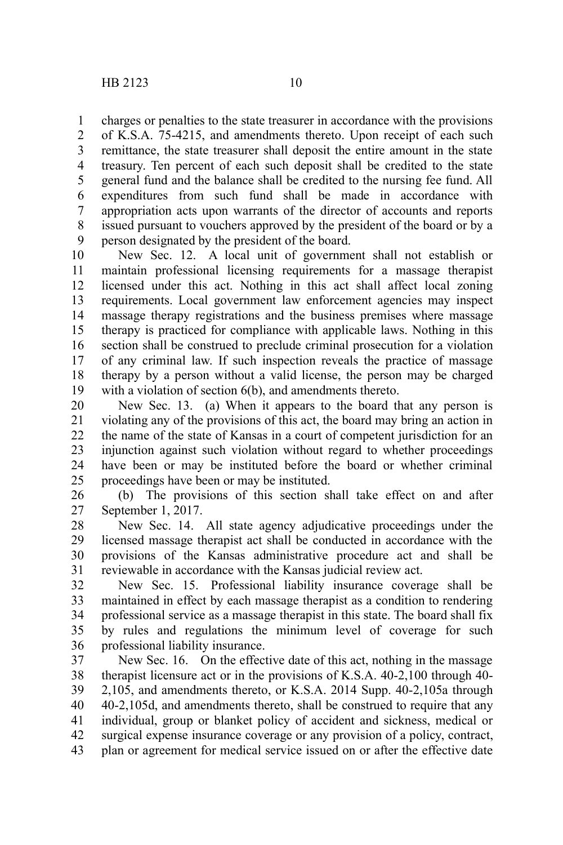charges or penalties to the state treasurer in accordance with the provisions 1

of K.S.A. 75-4215, and amendments thereto. Upon receipt of each such remittance, the state treasurer shall deposit the entire amount in the state treasury. Ten percent of each such deposit shall be credited to the state general fund and the balance shall be credited to the nursing fee fund. All expenditures from such fund shall be made in accordance with appropriation acts upon warrants of the director of accounts and reports issued pursuant to vouchers approved by the president of the board or by a person designated by the president of the board. 2 3 4 5 6 7 8 9

New Sec. 12. A local unit of government shall not establish or maintain professional licensing requirements for a massage therapist licensed under this act. Nothing in this act shall affect local zoning requirements. Local government law enforcement agencies may inspect massage therapy registrations and the business premises where massage therapy is practiced for compliance with applicable laws. Nothing in this section shall be construed to preclude criminal prosecution for a violation of any criminal law. If such inspection reveals the practice of massage therapy by a person without a valid license, the person may be charged with a violation of section  $6(b)$ , and amendments thereto. 10 11 12 13 14 15 16 17 18 19

New Sec. 13. (a) When it appears to the board that any person is violating any of the provisions of this act, the board may bring an action in the name of the state of Kansas in a court of competent jurisdiction for an injunction against such violation without regard to whether proceedings have been or may be instituted before the board or whether criminal proceedings have been or may be instituted. 20 21 22 23 24 25

(b) The provisions of this section shall take effect on and after September 1, 2017. 26 27

New Sec. 14. All state agency adjudicative proceedings under the licensed massage therapist act shall be conducted in accordance with the provisions of the Kansas administrative procedure act and shall be reviewable in accordance with the Kansas judicial review act. 28 29 30 31

New Sec. 15. Professional liability insurance coverage shall be maintained in effect by each massage therapist as a condition to rendering professional service as a massage therapist in this state. The board shall fix by rules and regulations the minimum level of coverage for such professional liability insurance. 32 33 34 35 36

New Sec. 16. On the effective date of this act, nothing in the massage therapist licensure act or in the provisions of K.S.A. 40-2,100 through 40- 2,105, and amendments thereto, or K.S.A. 2014 Supp. 40-2,105a through 40-2,105d, and amendments thereto, shall be construed to require that any individual, group or blanket policy of accident and sickness, medical or surgical expense insurance coverage or any provision of a policy, contract, plan or agreement for medical service issued on or after the effective date 37 38 39 40 41 42 43